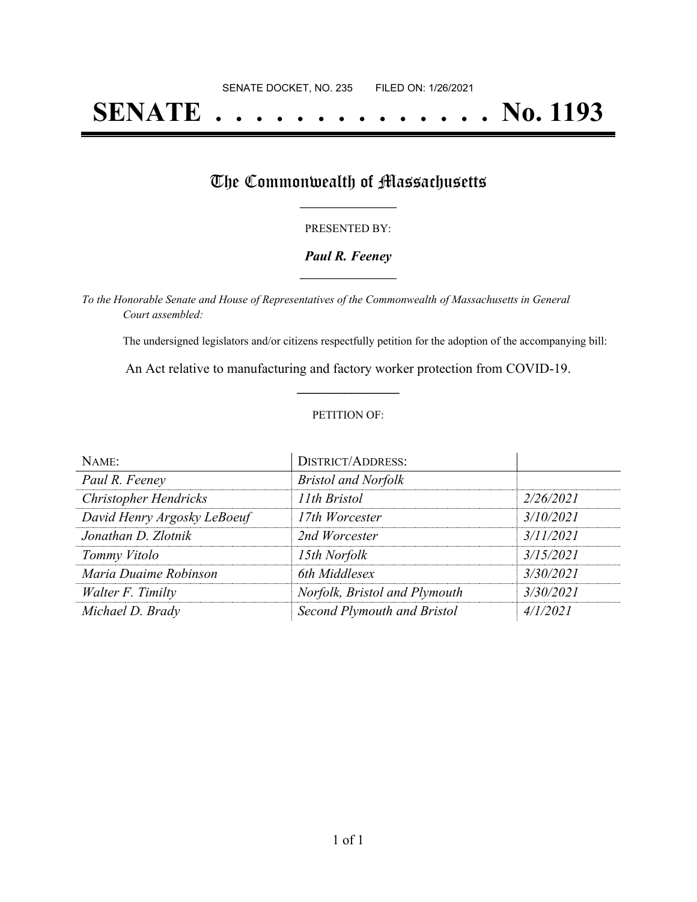# **SENATE . . . . . . . . . . . . . . No. 1193**

### The Commonwealth of Massachusetts

#### PRESENTED BY:

#### *Paul R. Feeney* **\_\_\_\_\_\_\_\_\_\_\_\_\_\_\_\_\_**

*To the Honorable Senate and House of Representatives of the Commonwealth of Massachusetts in General Court assembled:*

The undersigned legislators and/or citizens respectfully petition for the adoption of the accompanying bill:

An Act relative to manufacturing and factory worker protection from COVID-19. **\_\_\_\_\_\_\_\_\_\_\_\_\_\_\_**

#### PETITION OF:

| NAME:                        | <b>DISTRICT/ADDRESS:</b>      |           |
|------------------------------|-------------------------------|-----------|
| Paul R. Feeney               | <b>Bristol and Norfolk</b>    |           |
| <b>Christopher Hendricks</b> | 11th Bristol                  | 2/26/2021 |
| David Henry Argosky LeBoeuf  | 17th Worcester                | 3/10/2021 |
| Jonathan D. Zlotnik          | 2nd Worcester                 | 3/11/2021 |
| Tommy Vitolo                 | 15th Norfolk                  | 3/15/2021 |
| Maria Duaime Robinson        | 6th Middlesex                 | 3/30/2021 |
| Walter F. Timilty            | Norfolk, Bristol and Plymouth | 3/30/2021 |
| Michael D. Brady             | Second Plymouth and Bristol   | 4/1/2021  |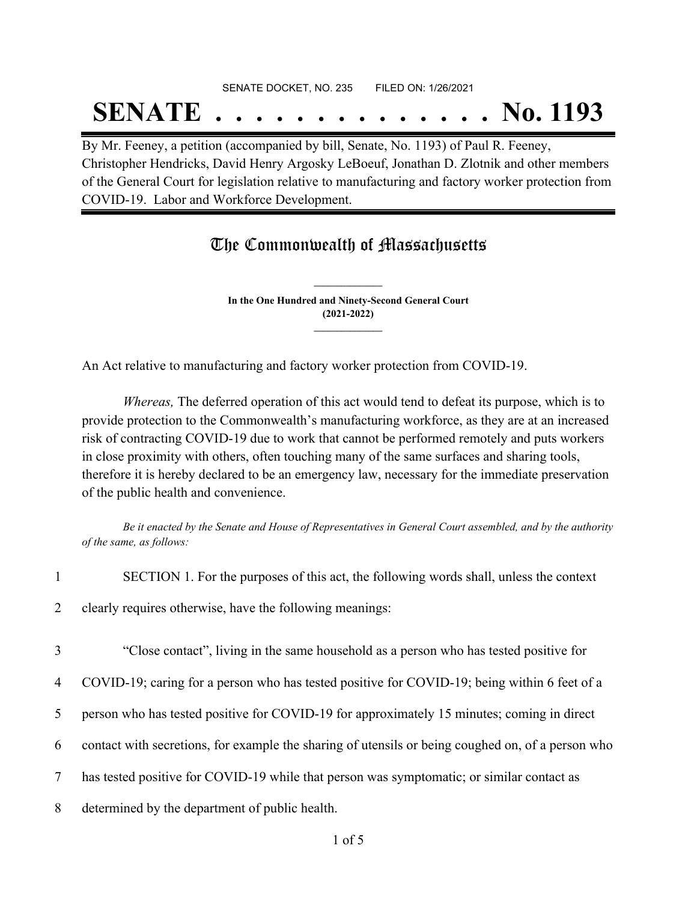# SENATE DOCKET, NO. 235 FILED ON: 1/26/2021 **SENATE . . . . . . . . . . . . . . No. 1193**

By Mr. Feeney, a petition (accompanied by bill, Senate, No. 1193) of Paul R. Feeney, Christopher Hendricks, David Henry Argosky LeBoeuf, Jonathan D. Zlotnik and other members of the General Court for legislation relative to manufacturing and factory worker protection from COVID-19. Labor and Workforce Development.

## The Commonwealth of Massachusetts

**In the One Hundred and Ninety-Second General Court (2021-2022) \_\_\_\_\_\_\_\_\_\_\_\_\_\_\_**

**\_\_\_\_\_\_\_\_\_\_\_\_\_\_\_**

An Act relative to manufacturing and factory worker protection from COVID-19.

*Whereas,* The deferred operation of this act would tend to defeat its purpose, which is to provide protection to the Commonwealth's manufacturing workforce, as they are at an increased risk of contracting COVID-19 due to work that cannot be performed remotely and puts workers in close proximity with others, often touching many of the same surfaces and sharing tools, therefore it is hereby declared to be an emergency law, necessary for the immediate preservation of the public health and convenience.

Be it enacted by the Senate and House of Representatives in General Court assembled, and by the authority *of the same, as follows:*

| SECTION 1. For the purposes of this act, the following words shall, unless the context |  |  |
|----------------------------------------------------------------------------------------|--|--|

2 clearly requires otherwise, have the following meanings:

3 "Close contact", living in the same household as a person who has tested positive for

4 COVID-19; caring for a person who has tested positive for COVID-19; being within 6 feet of a

- 5 person who has tested positive for COVID-19 for approximately 15 minutes; coming in direct
- 6 contact with secretions, for example the sharing of utensils or being coughed on, of a person who
- 7 has tested positive for COVID-19 while that person was symptomatic; or similar contact as
- 8 determined by the department of public health.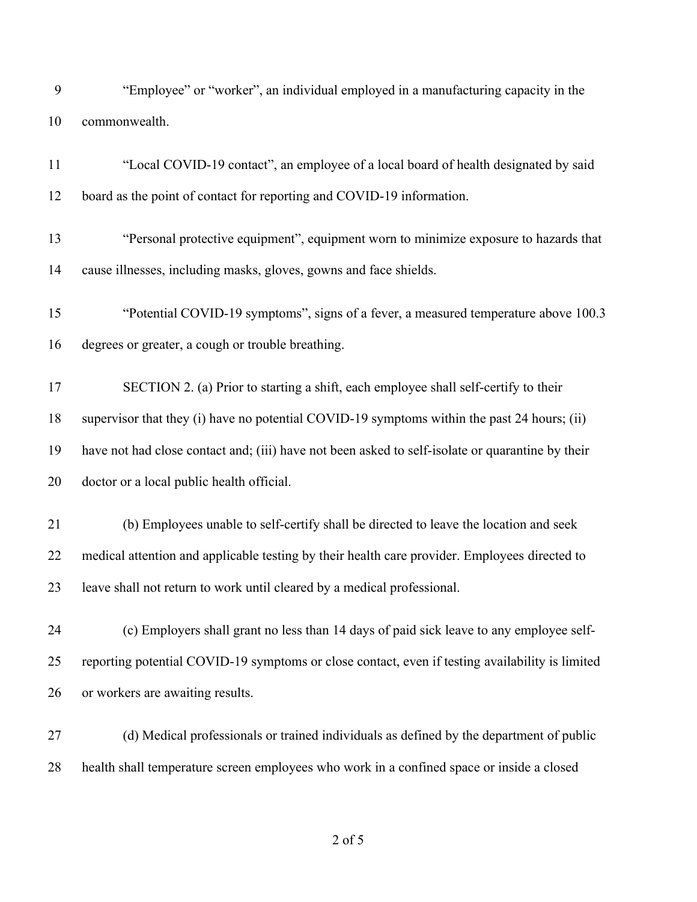| "Employee" or "worker", an individual employed in a manufacturing capacity in the |
|-----------------------------------------------------------------------------------|
| 10 commonwealth.                                                                  |

| 11 | "Local COVID-19 contact", an employee of a local board of health designated by said              |
|----|--------------------------------------------------------------------------------------------------|
| 12 | board as the point of contact for reporting and COVID-19 information.                            |
| 13 | "Personal protective equipment", equipment worn to minimize exposure to hazards that             |
| 14 | cause illnesses, including masks, gloves, gowns and face shields.                                |
| 15 | "Potential COVID-19 symptoms", signs of a fever, a measured temperature above 100.3              |
| 16 | degrees or greater, a cough or trouble breathing.                                                |
| 17 | SECTION 2. (a) Prior to starting a shift, each employee shall self-certify to their              |
| 18 | supervisor that they (i) have no potential COVID-19 symptoms within the past 24 hours; (ii)      |
| 19 | have not had close contact and; (iii) have not been asked to self-isolate or quarantine by their |
| 20 | doctor or a local public health official.                                                        |
| 21 | (b) Employees unable to self-certify shall be directed to leave the location and seek            |
| 22 | medical attention and applicable testing by their health care provider. Employees directed to    |
| 23 | leave shall not return to work until cleared by a medical professional.                          |
| 24 | (c) Employers shall grant no less than 14 days of paid sick leave to any employee self-          |
| 25 | reporting potential COVID-19 symptoms or close contact, even if testing availability is limited  |
| 26 | or workers are awaiting results.                                                                 |
| 27 | (d) Medical professionals or trained individuals as defined by the department of public          |

health shall temperature screen employees who work in a confined space or inside a closed

of 5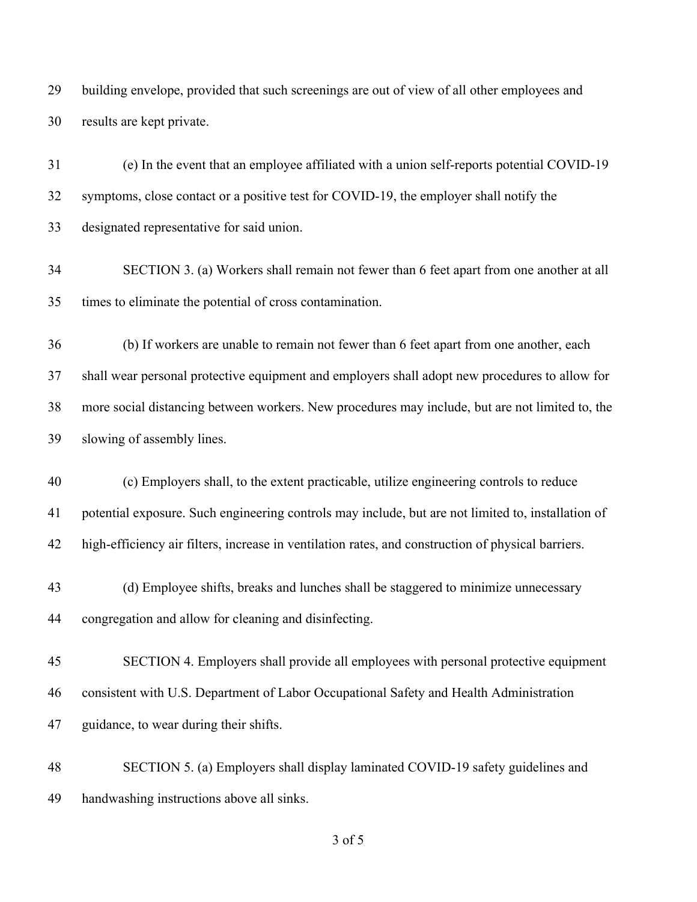building envelope, provided that such screenings are out of view of all other employees and results are kept private.

 (e) In the event that an employee affiliated with a union self-reports potential COVID-19 symptoms, close contact or a positive test for COVID-19, the employer shall notify the designated representative for said union.

 SECTION 3. (a) Workers shall remain not fewer than 6 feet apart from one another at all times to eliminate the potential of cross contamination.

 (b) If workers are unable to remain not fewer than 6 feet apart from one another, each shall wear personal protective equipment and employers shall adopt new procedures to allow for more social distancing between workers. New procedures may include, but are not limited to, the slowing of assembly lines.

 (c) Employers shall, to the extent practicable, utilize engineering controls to reduce potential exposure. Such engineering controls may include, but are not limited to, installation of high-efficiency air filters, increase in ventilation rates, and construction of physical barriers.

- (d) Employee shifts, breaks and lunches shall be staggered to minimize unnecessary congregation and allow for cleaning and disinfecting.
- SECTION 4. Employers shall provide all employees with personal protective equipment consistent with U.S. Department of Labor Occupational Safety and Health Administration guidance, to wear during their shifts.

 SECTION 5. (a) Employers shall display laminated COVID-19 safety guidelines and handwashing instructions above all sinks.

of 5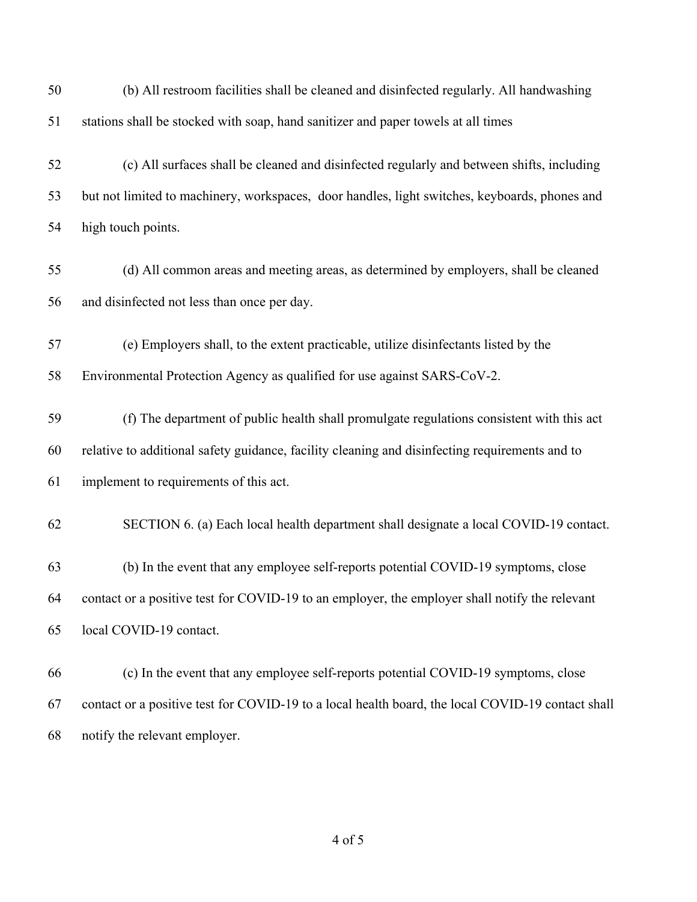| 50 | (b) All restroom facilities shall be cleaned and disinfected regularly. All handwashing           |
|----|---------------------------------------------------------------------------------------------------|
| 51 | stations shall be stocked with soap, hand sanitizer and paper towels at all times                 |
| 52 | (c) All surfaces shall be cleaned and disinfected regularly and between shifts, including         |
| 53 | but not limited to machinery, workspaces, door handles, light switches, keyboards, phones and     |
| 54 | high touch points.                                                                                |
| 55 | (d) All common areas and meeting areas, as determined by employers, shall be cleaned              |
| 56 | and disinfected not less than once per day.                                                       |
| 57 | (e) Employers shall, to the extent practicable, utilize disinfectants listed by the               |
| 58 | Environmental Protection Agency as qualified for use against SARS-CoV-2.                          |
| 59 | (f) The department of public health shall promulgate regulations consistent with this act         |
| 60 | relative to additional safety guidance, facility cleaning and disinfecting requirements and to    |
| 61 | implement to requirements of this act.                                                            |
| 62 | SECTION 6. (a) Each local health department shall designate a local COVID-19 contact.             |
| 63 | (b) In the event that any employee self-reports potential COVID-19 symptoms, close                |
| 64 | contact or a positive test for COVID-19 to an employer, the employer shall notify the relevant    |
| 65 | local COVID-19 contact.                                                                           |
| 66 | (c) In the event that any employee self-reports potential COVID-19 symptoms, close                |
| 67 | contact or a positive test for COVID-19 to a local health board, the local COVID-19 contact shall |
| 68 | notify the relevant employer.                                                                     |

of 5